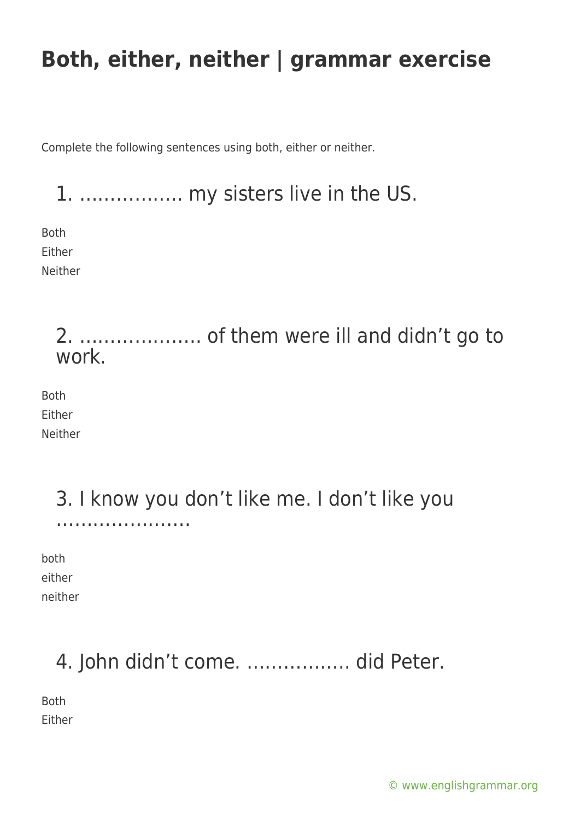Complete the following sentences using both, either or neither.

1. …………….. my sisters live in the US.

Both Either Neither

#### 2. ……………….. of them were ill and didn't go to work.

Both Either Neither

#### 3. I know you don't like me. I don't like you ……………………………

both either neither

# 4. John didn't come. …………….. did Peter.

Both Either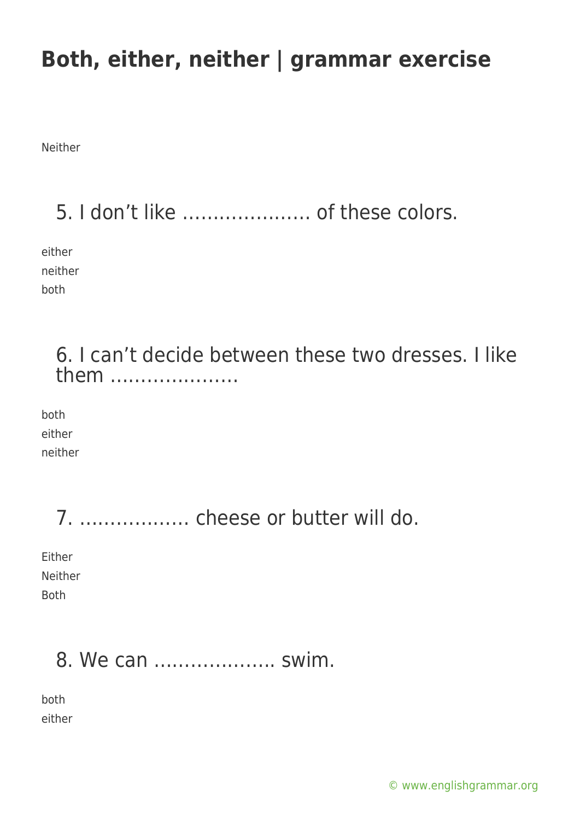Neither

## 5. I don't like ………………… of these colors.

either neither both

> 6. I can't decide between these two dresses. I like them …………………

both either neither

7. ……………… cheese or butter will do.

Either Neither Both

### 8. We can ……………….. swim.

both either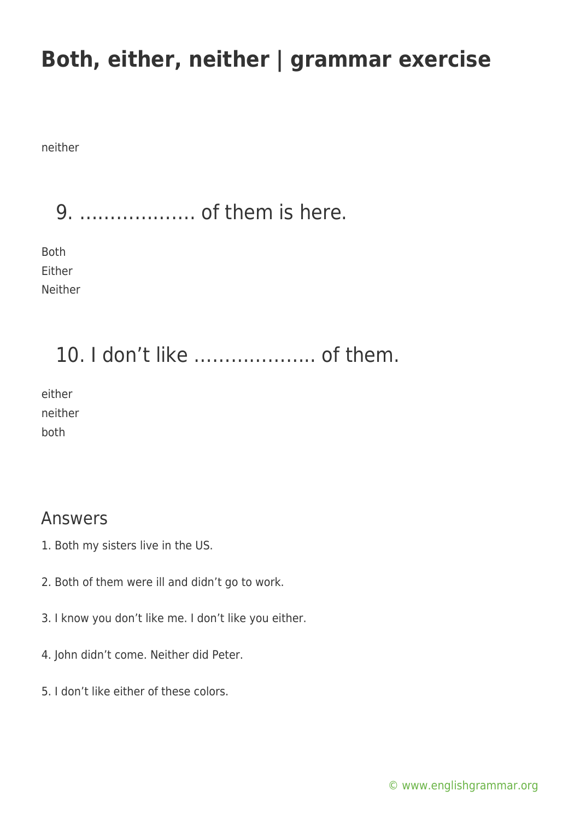neither

9. ………………. of them is here.

Both Either Neither

### 10. I don't like ……………….. of them.

either neither both

#### Answers

- 1. Both my sisters live in the US.
- 2. Both of them were ill and didn't go to work.
- 3. I know you don't like me. I don't like you either.
- 4. John didn't come. Neither did Peter.
- 5. I don't like either of these colors.